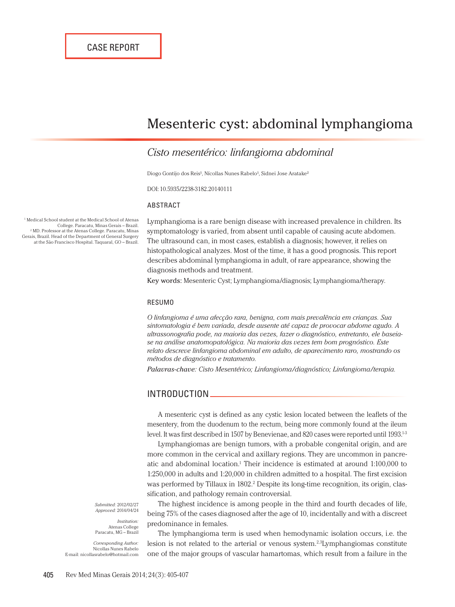# Mesenteric cyst: abdominal lymphangioma

## *Cisto mesentérico: linfangioma abdominal*

Diogo Gontijo dos Reis<sup>1</sup>, Nícollas Nunes Rabelo<sup>1</sup>, Sidnei Jose Aratake<sup>2</sup>

DOI: 10.5935/2238-3182.20140111

#### ABSTRACT

1 Medical School student at the Medical School of Atenas College. Paracatu, Minas Gerais – Brazil. 2 MD. Professor at the Atenas College. Paracatu, Minas Gerais, Brazil. Head of the Department of General Surgery at the São Francisco Hospital. Taquaral, GO – Brazil.

Lymphangioma is a rare benign disease with increased prevalence in children. Its symptomatology is varied, from absent until capable of causing acute abdomen. The ultrasound can, in most cases, establish a diagnosis; however, it relies on histopathological analyzes. Most of the time, it has a good prognosis. This report describes abdominal lymphangioma in adult, of rare appearance, showing the diagnosis methods and treatment.

Key words: Mesenteric Cyst; Lymphangioma/diagnosis; Lymphangioma/therapy.

#### RESUMO

*O linfangioma é uma afecção rara, benigna, com mais prevalência em crianças. Sua sintomatologia é bem variada, desde ausente até capaz de provocar abdome agudo. A ultrassonografia pode, na maioria das vezes, fazer o diagnóstico, entretanto, ele baseiase na análise anatomopatológica. Na maioria das vezes tem bom prognóstico. Este relato descreve linfangioma abdominal em adulto, de aparecimento raro, mostrando os métodos de diagnóstico e tratamento.*

*Palavras-chave: Cisto Mesentérico; Linfangioma/diagnóstico; Linfangioma/terapia.*

### INTRODUCTION

A mesenteric cyst is defined as any cystic lesion located between the leaflets of the mesentery, from the duodenum to the rectum, being more commonly found at the ileum level. It was first described in 1507 by Benevienae, and 820 cases were reported until 1993.1-3

Lymphangiomas are benign tumors, with a probable congenital origin, and are more common in the cervical and axillary regions. They are uncommon in pancreatic and abdominal location.<sup>1</sup> Their incidence is estimated at around 1:100,000 to 1:250,000 in adults and 1:20,000 in children admitted to a hospital. The first excision was performed by Tillaux in 1802.<sup>2</sup> Despite its long-time recognition, its origin, classification, and pathology remain controversial.

The highest incidence is among people in the third and fourth decades of life, being 75% of the cases diagnosed after the age of 10, incidentally and with a discreet

*Submitted:* 2012/02/27 *Approved:* 2014/04/24

*Institution:* Atenas College Paracatu, MG – Brazil

*Corresponding Author:* Nicollas Nunes Rabelo E-mail: nicollasrabelo@hotmail.com predominance in females. The lymphangioma term is used when hemodynamic isolation occurs, i.e. the lesion is not related to the arterial or venous system.<sup>2,3</sup>Lymphangiomas constitute one of the major groups of vascular hamartomas, which result from a failure in the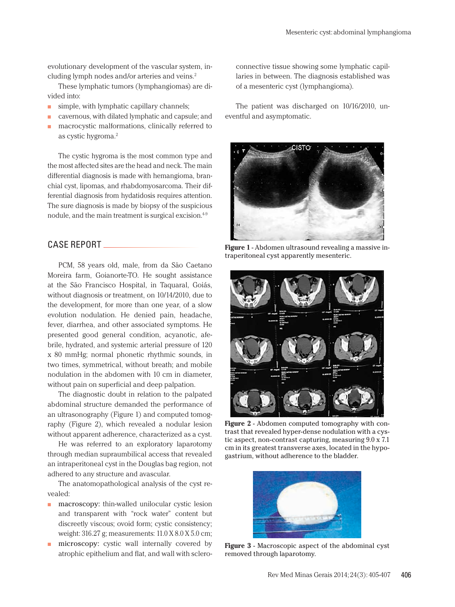evolutionary development of the vascular system, including lymph nodes and/or arteries and veins.2

These lymphatic tumors (lymphangiomas) are divided into:

- $\blacksquare$  simple, with lymphatic capillary channels;
- cavernous, with dilated lymphatic and capsule; and
- macrocystic malformations, clinically referred to as cystic hygroma.2

The cystic hygroma is the most common type and the most affected sites are the head and neck. The main differential diagnosis is made with hemangioma, branchial cyst, lipomas, and rhabdomyosarcoma. Their differential diagnosis from hydatidosis requires attention. The sure diagnosis is made by biopsy of the suspicious nodule, and the main treatment is surgical excision.4-9

#### CASE REPORT

PCM, 58 years old, male, from da São Caetano Moreira farm, Goianorte-TO. He sought assistance at the São Francisco Hospital, in Taquaral, Goiás, without diagnosis or treatment, on 10/14/2010, due to the development, for more than one year, of a slow evolution nodulation. He denied pain, headache, fever, diarrhea, and other associated symptoms. He presented good general condition, acyanotic, afebrile, hydrated, and systemic arterial pressure of 120 x 80 mmHg; normal phonetic rhythmic sounds, in two times, symmetrical, without breath; and mobile nodulation in the abdomen with 10 cm in diameter, without pain on superficial and deep palpation.

The diagnostic doubt in relation to the palpated abdominal structure demanded the performance of an ultrasonography (Figure 1) and computed tomography (Figure 2), which revealed a nodular lesion without apparent adherence, characterized as a cyst.

He was referred to an exploratory laparotomy through median supraumbilical access that revealed an intraperitoneal cyst in the Douglas bag region, not adhered to any structure and avascular.

The anatomopathological analysis of the cyst revealed:

- macroscopy: thin-walled unilocular cystic lesion and transparent with "rock water" content but discreetly viscous; ovoid form; cystic consistency; weight: 316.27 g; measurements: 11.0 X 8.0 X 5.0 cm;
- microscopy: cystic wall internally covered by atrophic epithelium and flat, and wall with sclero-

connective tissue showing some lymphatic capillaries in between. The diagnosis established was of a mesenteric cyst (lymphangioma).

The patient was discharged on 10/16/2010, uneventful and asymptomatic.



**Figure 1** - Abdomen ultrasound revealing a massive intraperitoneal cyst apparently mesenteric.



**Figure 2** - Abdomen computed tomography with contrast that revealed hyper-dense nodulation with a cystic aspect, non-contrast capturing, measuring 9.0 x 7.1 cm in its greatest transverse axes, located in the hypogastrium, without adherence to the bladder.



**Figure 3** - Macroscopic aspect of the abdominal cyst removed through laparotomy.